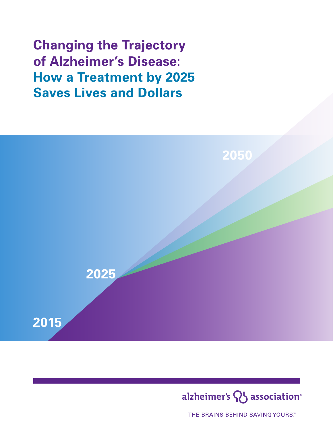**Changing the Trajectory of Alzheimer's Disease: How a Treatment by 2025 Saves Lives and Dollars**





THE BRAINS BEHIND SAVING YOURS."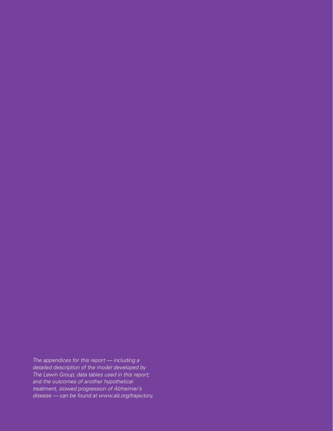The appendices for this report - including a detailed description of the model developed by The Lewin Group; data tables used in this report; and the outcomes of another hypothetical treatment, slowed progression of Alzheimer's disease — can be found at www.alz.org/trajectory.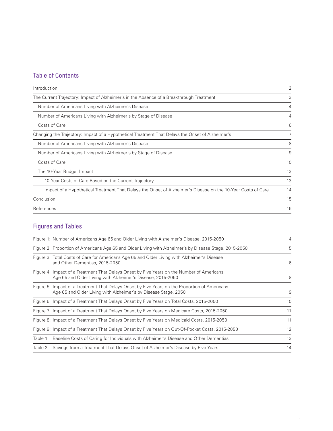# Table of Contents

| Introduction                                                                                                 | $\overline{2}$ |
|--------------------------------------------------------------------------------------------------------------|----------------|
| The Current Trajectory: Impact of Alzheimer's in the Absence of a Breakthrough Treatment                     | 3              |
| Number of Americans Living with Alzheimer's Disease                                                          | $\overline{4}$ |
| Number of Americans Living with Alzheimer's by Stage of Disease                                              | $\overline{4}$ |
| Costs of Care                                                                                                | 6              |
| Changing the Trajectory: Impact of a Hypothetical Treatment That Delays the Onset of Alzheimer's             | 7              |
| Number of Americans Living with Alzheimer's Disease                                                          | 8              |
| Number of Americans Living with Alzheimer's by Stage of Disease                                              | 9              |
| Costs of Care                                                                                                | 10             |
| The 10-Year Budget Impact                                                                                    | 13             |
| 10-Year Costs of Care Based on the Current Trajectory                                                        | 13             |
| Impact of a Hypothetical Treatment That Delays the Onset of Alzheimer's Disease on the 10-Year Costs of Care | 14             |
| Conclusion                                                                                                   | 15             |
| References                                                                                                   | 16             |
|                                                                                                              |                |

# Figures and Tables

| Figure 1: Number of Americans Age 65 and Older Living with Alzheimer's Disease, 2015-2050                                                                         | $\overline{4}$ |
|-------------------------------------------------------------------------------------------------------------------------------------------------------------------|----------------|
| Figure 2: Proportion of Americans Age 65 and Older Living with Alzheimer's by Disease Stage, 2015-2050                                                            | 5              |
| Figure 3: Total Costs of Care for Americans Age 65 and Older Living with Alzheimer's Disease<br>and Other Dementias, 2015-2050                                    | 6              |
| Figure 4: Impact of a Treatment That Delays Onset by Five Years on the Number of Americans<br>Age 65 and Older Living with Alzheimer's Disease, 2015-2050         | 8              |
| Figure 5: Impact of a Treatment That Delays Onset by Five Years on the Proportion of Americans<br>Age 65 and Older Living with Alzheimer's by Disease Stage, 2050 | 9              |
| Figure 6: Impact of a Treatment That Delays Onset by Five Years on Total Costs, 2015-2050                                                                         | 10             |
| Figure 7: Impact of a Treatment That Delays Onset by Five Years on Medicare Costs, 2015-2050                                                                      | 11             |
| Figure 8: Impact of a Treatment That Delays Onset by Five Years on Medicaid Costs, 2015-2050                                                                      | 11             |
| Figure 9: Impact of a Treatment That Delays Onset by Five Years on Out-Of-Pocket Costs, 2015-2050                                                                 | 12             |
| Table 1: Baseline Costs of Caring for Individuals with Alzheimer's Disease and Other Dementias                                                                    | 13             |
| Table 2: Savings from a Treatment That Delays Onset of Alzheimer's Disease by Five Years                                                                          | 14             |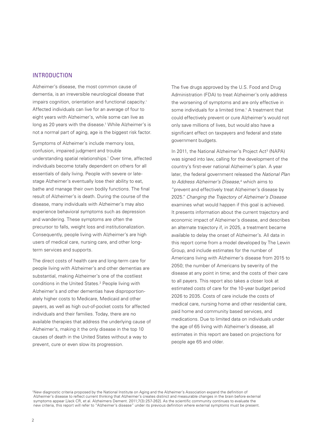# INTRODUCTION

Alzheimer's disease, the most common cause of dementia, is an irreversible neurological disease that impairs cognition, orientation and functional capacity.† Affected individuals can live for an average of four to eight years with Alzheimer's, while some can live as long as 20 years with the disease.<sup>1</sup> While Alzheimer's is not a normal part of aging, age is the biggest risk factor.

Symptoms of Alzheimer's include memory loss, confusion, impaired judgment and trouble understanding spatial relationships.<sup>1</sup> Over time, affected individuals become totally dependent on others for all essentials of daily living. People with severe or latestage Alzheimer's eventually lose their ability to eat, bathe and manage their own bodily functions. The final result of Alzheimer's is death. During the course of the disease, many individuals with Alzheimer's may also experience behavioral symptoms such as depression and wandering. These symptoms are often the precursor to falls, weight loss and institutionalization. Consequently, people living with Alzheimer's are high users of medical care, nursing care, and other longterm services and supports.

The direct costs of health care and long-term care for people living with Alzheimer's and other dementias are substantial, making Alzheimer's one of the costliest conditions in the United States.<sup>2</sup> People living with Alzheimer's and other dementias have disproportionately higher costs to Medicare, Medicaid and other payers, as well as high out-of-pocket costs for affected individuals and their families. Today, there are no available therapies that address the underlying cause of Alzheimer's, making it the only disease in the top 10 causes of death in the United States without a way to prevent, cure or even slow its progression.

The five drugs approved by the U.S. Food and Drug Administration (FDA) to treat Alzheimer's only address the worsening of symptoms and are only effective in some individuals for a limited time.<sup>1</sup> A treatment that could effectively prevent or cure Alzheimer's would not only save millions of lives, but would also have a significant effect on taxpayers and federal and state government budgets.

In 2011, the National Alzheimer's Project Act<sup>3</sup> (NAPA) was signed into law, calling for the development of the country's first-ever national Alzheimer's plan. A year later, the federal government released the National Plan to Address Alzheimer's Disease, 4 which aims to "prevent and effectively treat Alzheimer's disease by 2025." Changing the Trajectory of Alzheimer's Disease examines what would happen if this goal is achieved. It presents information about the current trajectory and economic impact of Alzheimer's disease, and describes an alternate trajectory if, in 2025, a treatment became available to delay the onset of Alzheimer's. All data in this report come from a model developed by The Lewin Group, and include estimates for the number of Americans living with Alzheimer's disease from 2015 to 2050; the number of Americans by severity of the disease at any point in time; and the costs of their care to all payers. This report also takes a closer look at estimated costs of care for the 10-year budget period 2026 to 2035. Costs of care include the costs of medical care, nursing home and other residential care, paid home and community based services, and medications. Due to limited data on individuals under the age of 65 living with Alzheimer's disease, all estimates in this report are based on projections for people age 65 and older.

†New diagnostic criteria proposed by the National Institute on Aging and the Alzheimer's Association expand the definition of Alzheimer's disease to reflect current thinking that Alzheimer's creates distinct and measurable changes in the brain before external symptoms appear [Jack CR, et al. Alzheimers Dement. 2011;7(3):257-262]. As the scientific community continues to evaluate the new criteria, this report will refer to "Alzheimer's disease" under its previous definition where external symptoms must be present.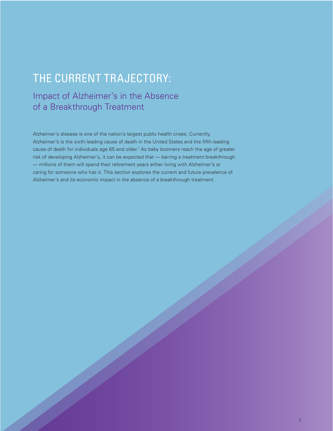# THE CURRENT TRAJECTORY:

# Impact of Alzheimer's in the Absence of a Breakthrough Treatment

Alzheimer's disease is one of the nation's largest public health crises. Currently, Alzheimer's is the sixth-leading cause of death in the United States and the fifth-leading cause of death for individuals age 65 and older.<sup>1</sup> As baby boomers reach the age of greater risk of developing Alzheimer's, it can be expected that — barring a treatment breakthrough — millions of them will spend their retirement years either living with Alzheimer's or caring for someone who has it. This section explores the current and future prevalence of Alzheimer's and its economic impact in the absence of a breakthrough treatment.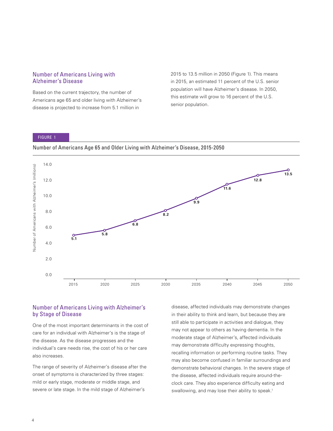## Number of Americans Living with Alzheimer's Disease

Based on the current trajectory, the number of Americans age 65 and older living with Alzheimer's disease is projected to increase from 5.1 million in

2015 to 13.5 million in 2050 (Figure 1). This means in 2015, an estimated 11 percent of the U.S. senior population will have Alzheimer's disease. In 2050, this estimate will grow to 16 percent of the U.S. senior population.

#### FIGURE 1

Number of Americans Age 65 and Older Living with Alzheimer's Disease, 2015-2050



# Number of Americans Living with Alzheimer's by Stage of Disease

One of the most important determinants in the cost of care for an individual with Alzheimer's is the stage of the disease. As the disease progresses and the individual's care needs rise, the cost of his or her care also increases.

The range of severity of Alzheimer's disease after the onset of symptoms is characterized by three stages: mild or early stage, moderate or middle stage, and severe or late stage. In the mild stage of Alzheimer's

disease, affected individuals may demonstrate changes in their ability to think and learn, but because they are still able to participate in activities and dialogue, they may not appear to others as having dementia. In the moderate stage of Alzheimer's, affected individuals may demonstrate difficulty expressing thoughts, recalling information or performing routine tasks. They may also become confused in familiar surroundings and demonstrate behavioral changes. In the severe stage of the disease, affected individuals require around-theclock care. They also experience difficulty eating and swallowing, and may lose their ability to speak.<sup>1</sup>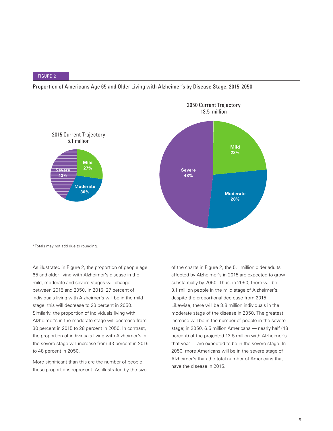



\*Totals may not add due to rounding.

As illustrated in Figure 2, the proportion of people age 65 and older living with Alzheimer's disease in the mild, moderate and severe stages will change between 2015 and 2050. In 2015, 27 percent of individuals living with Alzheimer's will be in the mild stage; this will decrease to 23 percent in 2050. Similarly, the proportion of individuals living with Alzheimer's in the moderate stage will decrease from 30 percent in 2015 to 28 percent in 2050. In contrast, the proportion of individuals living with Alzheimer's in the severe stage will increase from 43 percent in 2015 to 48 percent in 2050.

More significant than this are the number of people these proportions represent. As illustrated by the size of the charts in Figure 2, the 5.1 million older adults affected by Alzheimer's in 2015 are expected to grow substantially by 2050. Thus, in 2050, there will be 3.1 million people in the mild stage of Alzheimer's, despite the proportional decrease from 2015. Likewise, there will be 3.8 million individuals in the moderate stage of the disease in 2050. The greatest increase will be in the number of people in the severe stage; in 2050, 6.5 million Americans — nearly half (48 percent) of the projected 13.5 million with Alzheimer's that year — are expected to be in the severe stage. In 2050, more Americans will be in the severe stage of Alzheimer's than the total number of Americans that have the disease in 2015.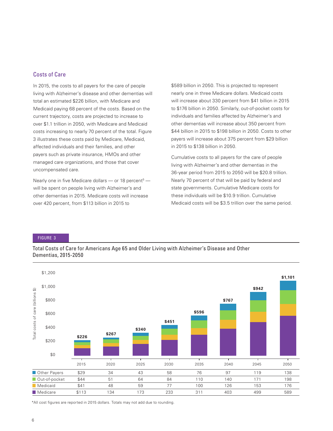# Costs of Care

In 2015, the costs to all payers for the care of people living with Alzheimer's disease and other dementias will total an estimated \$226 billion, with Medicare and Medicaid paying 68 percent of the costs. Based on the current trajectory, costs are projected to increase to over \$1.1 trillion in 2050, with Medicare and Medicaid costs increasing to nearly 70 percent of the total. Figure 3 illustrates these costs paid by Medicare, Medicaid, affected individuals and their families, and other payers such as private insurance, HMOs and other managed care organizations, and those that cover uncompensated care.

Nearly one in five Medicare dollars — or 18 percent<sup>5</sup> will be spent on people living with Alzheimer's and other dementias in 2015. Medicare costs will increase over 420 percent, from \$113 billion in 2015 to

\$589 billion in 2050. This is projected to represent nearly one in three Medicare dollars. Medicaid costs will increase about 330 percent from \$41 billion in 2015 to \$176 billion in 2050. Similarly, out-of-pocket costs for individuals and families affected by Alzheimer's and other dementias will increase about 350 percent from \$44 billion in 2015 to \$198 billion in 2050. Costs to other payers will increase about 375 percent from \$29 billion in 2015 to \$138 billion in 2050.

Cumulative costs to all payers for the care of people living with Alzheimer's and other dementias in the 36-year period from 2015 to 2050 will be \$20.8 trillion. Nearly 70 percent of that will be paid by federal and state governments. Cumulative Medicare costs for these individuals will be \$10.9 trillion. Cumulative Medicaid costs will be \$3.5 trillion over the same period.

#### FIGURE 3

Total Costs of Care for Americans Age 65 and Older Living with Alzheimer's Disease and Other Dementias, 2015-2050



\*All cost figures are reported in 2015 dollars. Totals may not add due to rounding.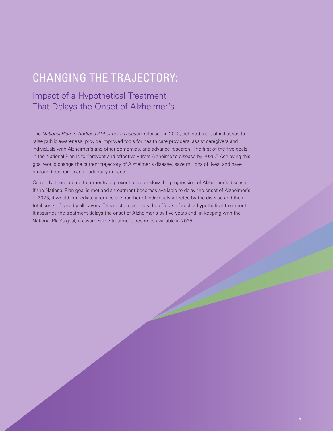# CHANGING THE TRAJECTORY:

# Impact of a Hypothetical Treatment That Delays the Onset of Alzheimer's

The National Plan to Address Alzheimer's Disease, released in 2012, outlined a set of initiatives to raise public awareness, provide improved tools for health care providers, assist caregivers and individuals with Alzheimer's and other dementias, and advance research. The first of the five goals in the National Plan is to "prevent and effectively treat Alzheimer's disease by 2025." Achieving this goal would change the current trajectory of Alzheimer's disease, save millions of lives, and have profound economic and budgetary impacts.

Currently, there are no treatments to prevent, cure or slow the progression of Alzheimer's disease. If the National Plan goal is met and a treatment becomes available to delay the onset of Alzheimer's in 2025, it would immediately reduce the number of individuals affected by the disease and their total costs of care by all payers. This section explores the effects of such a hypothetical treatment. It assumes the treatment delays the onset of Alzheimer's by five years and, in keeping with the National Plan's goal, it assumes the treatment becomes available in 2025.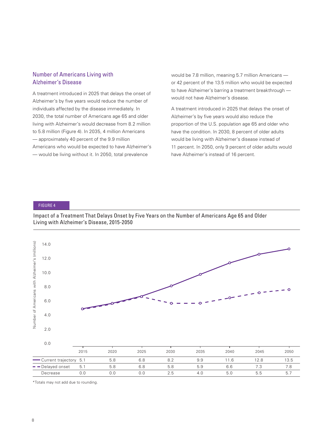# Number of Americans Living with Alzheimer's Disease

A treatment introduced in 2025 that delays the onset of Alzheimer's by five years would reduce the number of individuals affected by the disease immediately. In 2030, the total number of Americans age 65 and older living with Alzheimer's would decrease from 8.2 million to 5.8 million (Figure 4). In 2035, 4 million Americans — approximately 40 percent of the 9.9 million Americans who would be expected to have Alzheimer's — would be living without it. In 2050, total prevalence

would be 7.8 million, meaning 5.7 million Americans or 42 percent of the 13.5 million who would be expected to have Alzheimer's barring a treatment breakthrough would not have Alzheimer's disease.

A treatment introduced in 2025 that delays the onset of Alzheimer's by five years would also reduce the proportion of the U.S. population age 65 and older who have the condition. In 2030, 8 percent of older adults would be living with Alzheimer's disease instead of 11 percent. In 2050, only 9 percent of older adults would have Alzheimer's instead of 16 percent.

# FIGURE 4

Impact of a Treatment That Delays Onset by Five Years on the Number of Americans Age 65 and Older Living with Alzheimer's Disease, 2015-2050



\*Totals may not add due to rounding.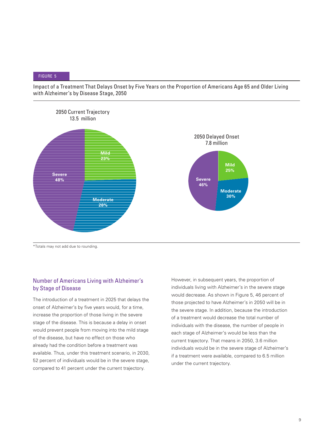Impact of a Treatment That Delays Onset by Five Years on the Proportion of Americans Age 65 and Older Living with Alzheimer's by Disease Stage, 2050



\*Totals may not add due to rounding.

# Number of Americans Living with Alzheimer's by Stage of Disease

The introduction of a treatment in 2025 that delays the onset of Alzheimer's by five years would, for a time, increase the proportion of those living in the severe stage of the disease. This is because a delay in onset would prevent people from moving into the mild stage of the disease, but have no effect on those who already had the condition before a treatment was available. Thus, under this treatment scenario, in 2030, 52 percent of individuals would be in the severe stage, compared to 41 percent under the current trajectory.

However, in subsequent years, the proportion of individuals living with Alzheimer's in the severe stage would decrease. As shown in Figure 5, 46 percent of those projected to have Alzheimer's in 2050 will be in the severe stage. In addition, because the introduction of a treatment would decrease the total number of individuals with the disease, the number of people in each stage of Alzheimer's would be less than the current trajectory. That means in 2050, 3.6 million individuals would be in the severe stage of Alzheimer's if a treatment were available, compared to 6.5 million under the current trajectory.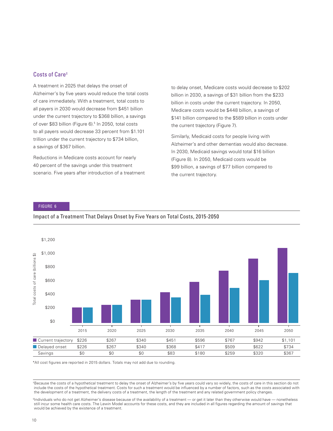# Costs of Care‡

A treatment in 2025 that delays the onset of Alzheimer's by five years would reduce the total costs of care immediately. With a treatment, total costs to all payers in 2030 would decrease from \$451 billion under the current trajectory to \$368 billion, a savings of over \$83 billion (Figure 6).§ In 2050, total costs to all payers would decrease 33 percent from \$1.101 trillion under the current trajectory to \$734 billion, a savings of \$367 billion.

Reductions in Medicare costs account for nearly 40 percent of the savings under this treatment scenario. Five years after introduction of a treatment to delay onset, Medicare costs would decrease to \$202 billion in 2030, a savings of \$31 billion from the \$233 billion in costs under the current trajectory. In 2050, Medicare costs would be \$448 billion, a savings of \$141 billion compared to the \$589 billion in costs under the current trajectory (Figure 7).

Similarly, Medicaid costs for people living with Alzheimer's and other dementias would also decrease. In 2030, Medicaid savings would total \$16 billion (Figure 8). In 2050, Medicaid costs would be \$99 billion, a savings of \$77 billion compared to the current trajectory.

#### FIGURE 6

#### Impact of a Treatment That Delays Onset by Five Years on Total Costs, 2015-2050



\*All cost figures are reported in 2015 dollars. Totals may not add due to rounding.

‡Because the costs of a hypothetical treatment to delay the onset of Alzheimer's by five years could vary so widely, the costs of care in this section do not include the costs of the hypothetical treatment. Costs for such a treatment would be influenced by a number of factors, such as the costs associated with the development of a treatment, the delivery costs of a treatment, the length of the treatment and any related government policy changes.

§ Individuals who do not get Alzheimer's disease because of the availability of a treatment — or get it later than they otherwise would have — nonetheless still incur some health care costs. The Lewin Model accounts for these costs, and they are included in all figures regarding the amount of savings that would be achieved by the existence of a treatment.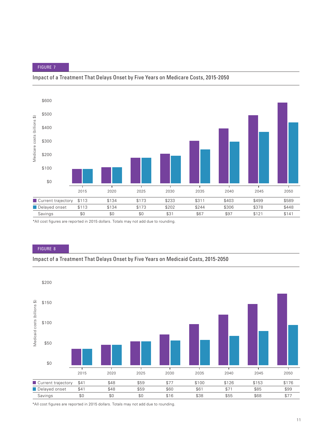## Impact of a Treatment That Delays Onset by Five Years on Medicare Costs, 2015-2050



\*All cost figures are reported in 2015 dollars. Totals may not add due to rounding.

#### FIGURE 8

### Impact of a Treatment That Delays Onset by Five Years on Medicaid Costs, 2015-2050



\*All cost figures are reported in 2015 dollars. Totals may not add due to rounding.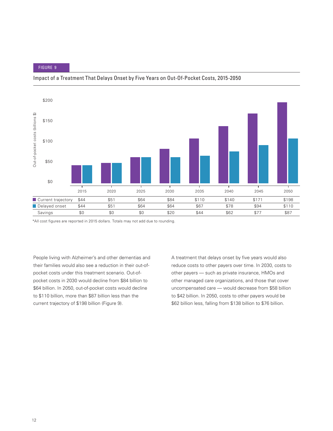### Impact of a Treatment That Delays Onset by Five Years on Out-Of-Pocket Costs, 2015-2050



\*All cost figures are reported in 2015 dollars. Totals may not add due to rounding.

People living with Alzheimer's and other dementias and their families would also see a reduction in their out-ofpocket costs under this treatment scenario. Out-ofpocket costs in 2030 would decline from \$84 billion to \$64 billion. In 2050, out-of-pocket costs would decline to \$110 billion, more than \$87 billion less than the current trajectory of \$198 billion (Figure 9).

A treatment that delays onset by five years would also reduce costs to other payers over time. In 2030, costs to other payers — such as private insurance, HMOs and other managed care organizations, and those that cover uncompensated care — would decrease from \$58 billion to \$42 billion. In 2050, costs to other payers would be \$62 billion less, falling from \$138 billion to \$76 billion.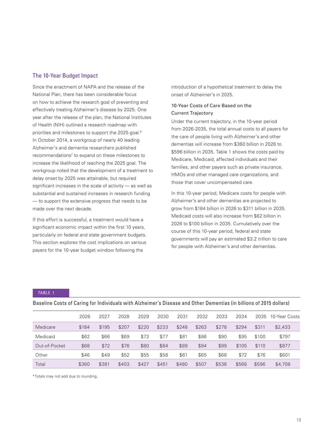# The 10-Year Budget Impact

Since the enactment of NAPA and the release of the National Plan, there has been considerable focus on how to achieve the research goal of preventing and effectively treating Alzheimer's disease by 2025. One year after the release of the plan, the National Institutes of Health (NIH) outlined a research roadmap with priorities and milestones to support the 2025 goal.<sup>6</sup> In October 2014, a workgroup of nearly 40 leading Alzheimer's and dementia researchers published recommendations<sup>7</sup> to expand on these milestones to increase the likelihood of reaching the 2025 goal. The workgroup noted that the development of a treatment to delay onset by 2025 was attainable, but required significant increases in the scale of activity — as well as substantial and sustained increases in research funding — to support the extensive progress that needs to be made over the next decade.

If this effort is successful, a treatment would have a significant economic impact within the first 10 years, particularly on federal and state government budgets. This section explores the cost implications on various payers for the 10-year budget window following the

introduction of a hypothetical treatment to delay the onset of Alzheimer's in 2025.

## 10-Year Costs of Care Based on the Current Trajectory

Under the current trajectory, in the 10-year period from 2026-2035, the total annual costs to all payers for the care of people living with Alzheimer's and other dementias will increase from \$360 billion in 2026 to \$596 billion in 2035. Table 1 shows the costs paid by Medicare, Medicaid, affected individuals and their families, and other payers such as private insurance, HMOs and other managed care organizations, and those that cover uncompensated care.

In this 10-year period, Medicare costs for people with Alzheimer's and other dementias are projected to grow from \$184 billion in 2026 to \$311 billion in 2035. Medicaid costs will also increase from \$62 billion in 2026 to \$100 billion in 2035. Cumulatively over the course of this 10-year period, federal and state governments will pay an estimated \$3.2 trillion to care for people with Alzheimer's and other dementias.

#### TABLE 1

|               | 2026  | 2027  | 2028  | 2029  | 2030  | 2031  | 2032  | 2033  | 2034  | 2035  | 10-Year Costs |
|---------------|-------|-------|-------|-------|-------|-------|-------|-------|-------|-------|---------------|
| Medicare      | \$184 | \$195 | \$207 | \$220 | \$233 | \$248 | \$263 | \$278 | \$294 | \$311 | \$2,433       |
| Medicaid      | \$62  | \$66  | \$69  | \$73  | \$77  | \$81  | \$86  | \$90  | \$95  | \$100 | \$797         |
| Out-of-Pocket | \$68  | \$72  | \$76  | \$80  | \$84  | \$89  | \$94  | \$99  | \$105 | \$110 | \$877         |
| Other         | \$46  | \$49  | \$52  | \$55  | \$58  | \$61  | \$65  | \$68  | \$72  | \$76  | \$601         |
| Total         | \$360 | \$381 | \$403 | \$427 | \$451 | \$480 | \$507 | \$536 | \$566 | \$596 | \$4,708       |

Baseline Costs of Caring for Individuals with Alzheimer's Disease and Other Dementias (in billions of 2015 dollars)

\*Totals may not add due to rounding.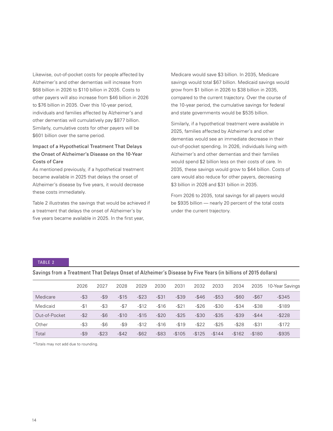Likewise, out-of-pocket costs for people affected by Alzheimer's and other dementias will increase from \$68 billion in 2026 to \$110 billion in 2035. Costs to other payers will also increase from \$46 billion in 2026 to \$76 billion in 2035. Over this 10-year period, individuals and families affected by Alzheimer's and other dementias will cumulatively pay \$877 billion. Similarly, cumulative costs for other payers will be \$601 billion over the same period.

# Impact of a Hypothetical Treatment That Delays the Onset of Alzheimer's Disease on the 10-Year Costs of Care

As mentioned previously, if a hypothetical treatment became available in 2025 that delays the onset of Alzheimer's disease by five years, it would decrease these costs immediately.

Table 2 illustrates the savings that would be achieved if a treatment that delays the onset of Alzheimer's by five years became available in 2025. In the first year,

Medicare would save \$3 billion. In 2035, Medicare savings would total \$67 billion. Medicaid savings would grow from \$1 billion in 2026 to \$38 billion in 2035, compared to the current trajectory. Over the course of the 10-year period, the cumulative savings for federal and state governments would be \$535 billion.

Similarly, if a hypothetical treatment were available in 2025, families affected by Alzheimer's and other dementias would see an immediate decrease in their out-of-pocket spending. In 2026, individuals living with Alzheimer's and other dementias and their families would spend \$2 billion less on their costs of care. In 2035, these savings would grow to \$44 billion. Costs of care would also reduce for other payers, decreasing \$3 billion in 2026 and \$31 billion in 2035.

From 2026 to 2035, total savings for all payers would be \$935 billion — nearly 20 percent of the total costs under the current trajectory.

#### TABLE 2

|               | 2026    | 2027     | 2028     | 2029     | 2030     | 2031     | 2032      | 2033      | 2034     | 2035      | 10-Year Savings |
|---------------|---------|----------|----------|----------|----------|----------|-----------|-----------|----------|-----------|-----------------|
| Medicare      | $-$ \$3 | -\$9     | $-$15$   | $-$ \$23 | $-$ \$31 | $-$ \$39 | $-$ \$46  | $-$ \$53  | $-$ \$60 | $-$ \$67  | $-$ \$345       |
| Medicaid      | $-$1$   | -\$3     | $-57$    | $-$12$   | $-$16$   | $-$ \$21 | $-$ \$26  | $-$ \$30  | $-$ \$34 | $-$ \$38  | $-$189$         |
| Out-of-Pocket | $-$ \$2 | $-$ \$6  | $-$10$   | $-$15$   | $-$20$   | $-$ \$25 | $-$ \$30  | $-$ \$35  | $-$ \$39 | $-$ \$44  | $-$ \$228       |
| Other         | -\$3    | -\$6     | $-$ \$9  | $-$12$   | $-$16$   | $-$ \$19 | $-$ \$22  | $-$ \$25  | $-$ \$28 | $-$ \$31  | $-$172$         |
| Total         | -\$9    | $-$ \$23 | $-$ \$42 | $-$ \$62 | $-$ \$83 | $-$105$  | $-$ \$125 | $-$ \$144 | $-$162$  | $-$ \$180 | $-$ \$935       |

Savings from a Treatment That Delays Onset of Alzheimer's Disease by Five Years (in billions of 2015 dollars)

\*Totals may not add due to rounding.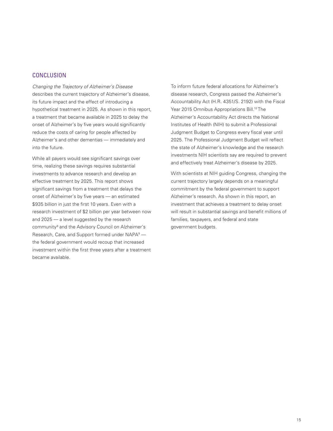# **CONCLUSION**

Changing the Trajectory of Alzheimer's Disease describes the current trajectory of Alzheimer's disease, its future impact and the effect of introducing a hypothetical treatment in 2025. As shown in this report, a treatment that became available in 2025 to delay the onset of Alzheimer's by five years would significantly reduce the costs of caring for people affected by Alzheimer's and other dementias — immediately and into the future.

While all payers would see significant savings over time, realizing these savings requires substantial investments to advance research and develop an effective treatment by 2025. This report shows significant savings from a treatment that delays the onset of Alzheimer's by five years — an estimated \$935 billion in just the first 10 years. Even with a research investment of \$2 billion per year between now and 2025 — a level suggested by the research community<sup>8</sup> and the Advisory Council on Alzheimer's Research, Care, and Support formed under NAPA<sup>9</sup> the federal government would recoup that increased investment within the first three years after a treatment became available.

To inform future federal allocations for Alzheimer's disease research, Congress passed the Alzheimer's Accountability Act (H.R. 4351/S. 2192) with the Fiscal Year 2015 Omnibus Appropriations Bill.<sup>10</sup>The Alzheimer's Accountability Act directs the National Institutes of Health (NIH) to submit a Professional Judgment Budget to Congress every fiscal year until 2025. The Professional Judgment Budget will reflect the state of Alzheimer's knowledge and the research investments NIH scientists say are required to prevent and effectively treat Alzheimer's disease by 2025.

With scientists at NIH guiding Congress, changing the current trajectory largely depends on a meaningful commitment by the federal government to support Alzheimer's research. As shown in this report, an investment that achieves a treatment to delay onset will result in substantial savings and benefit millions of families, taxpayers, and federal and state government budgets.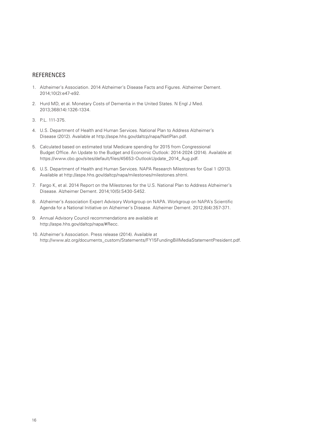## REFERENCES

- 1. Alzheimer's Association. 2014 Alzheimer's Disease Facts and Figures. Alzheimer Dement. 2014;10(2):e47-e92.
- 2. Hurd MD, et al. Monetary Costs of Dementia in the United States. N Engl J Med. 2013;368(14):1326-1334.
- 3. P.L. 111-375.
- 4. U.S. Department of Health and Human Services. National Plan to Address Alzheimer's Disease (2012). Available at http://aspe.hhs.gov/daltcp/napa/NatlPlan.pdf.
- 5. Calculated based on estimated total Medicare spending for 2015 from Congressional Budget Office. An Update to the Budget and Economic Outlook: 2014-2024 (2014). Available at https://www.cbo.gov/sites/default/files/45653-OutlookUpdate\_2014\_Aug.pdf.
- 6. U.S. Department of Health and Human Services. NAPA Research Milestones for Goal 1 (2013). Available at http://aspe.hhs.gov/daltcp/napa/milestones/milestones.shtml.
- 7. Fargo K, et al. 2014 Report on the Milestones for the U.S. National Plan to Address Alzheimer's Disease. Alzheimer Dement. 2014;10(5):S430-S452.
- 8. Alzheimer's Association Expert Advisory Workgroup on NAPA. Workgroup on NAPA's Scientific Agenda for a National Initiative on Alzheimer's Disease. Alzheimer Dement. 2012;8(4):357-371.
- 9. Annual Advisory Council recommendations are available at http://aspe.hhs.gov/daltcp/napa/#Recc.
- 10. Alzheimer's Association. Press release (2014). Available at http://www.alz.org/documents\_custom/Statements/FY15FundingBillMediaStatementPresident.pdf.